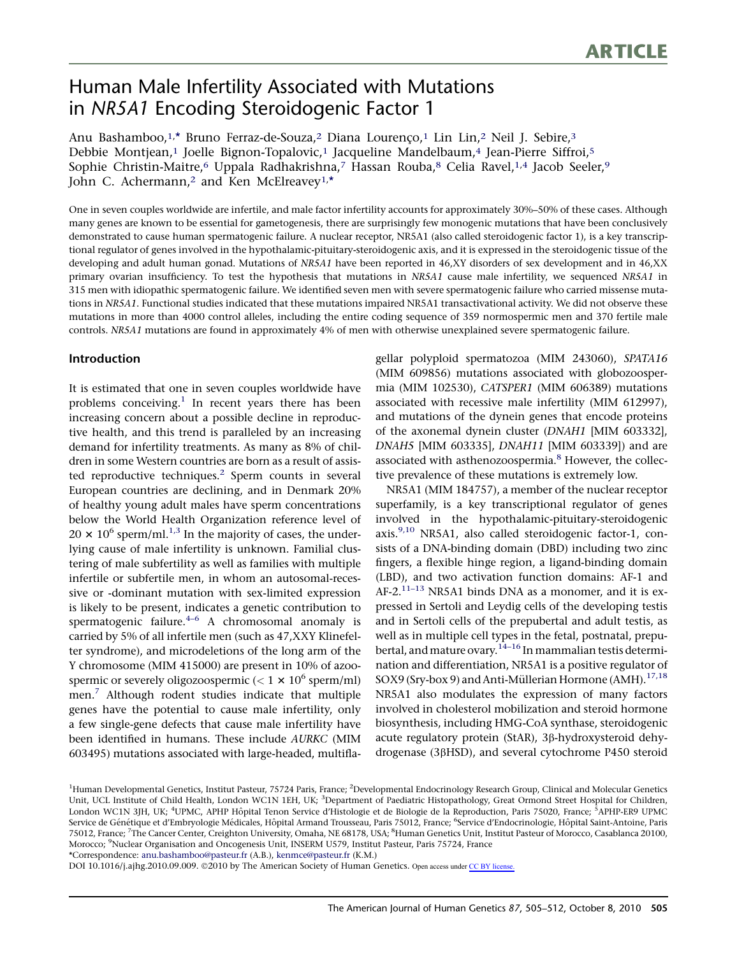# Human Male Infertility Associated with Mutations in NR5A1 Encoding Steroidogenic Factor 1

Anu Bashamboo,1,\* Bruno Ferraz-de-Souza,<sup>2</sup> Diana Lourenço,<sup>1</sup> Lin Lin,<sup>2</sup> Neil J. Sebire,<sup>3</sup> Debbie Montjean,<sup>1</sup> Joelle Bignon-Topalovic,<sup>1</sup> Jacqueline Mandelbaum,<sup>4</sup> Jean-Pierre Siffroi,<sup>5</sup> Sophie Christin-Maitre,<sup>6</sup> Uppala Radhakrishna,<sup>7</sup> Hassan Rouba,<sup>8</sup> Celia Ravel,<sup>1,4</sup> Jacob Seeler,<sup>9</sup> John C. Achermann,<sup>2</sup> and Ken McElreavey<sup>1,\*</sup>

One in seven couples worldwide are infertile, and male factor infertility accounts for approximately 30%–50% of these cases. Although many genes are known to be essential for gametogenesis, there are surprisingly few monogenic mutations that have been conclusively demonstrated to cause human spermatogenic failure. A nuclear receptor, NR5A1 (also called steroidogenic factor 1), is a key transcriptional regulator of genes involved in the hypothalamic-pituitary-steroidogenic axis, and it is expressed in the steroidogenic tissue of the developing and adult human gonad. Mutations of NR5A1 have been reported in 46,XY disorders of sex development and in 46,XX primary ovarian insufficiency. To test the hypothesis that mutations in NR5A1 cause male infertility, we sequenced NR5A1 in 315 men with idiopathic spermatogenic failure. We identified seven men with severe spermatogenic failure who carried missense mutations in NR5A1. Functional studies indicated that these mutations impaired NR5A1 transactivational activity. We did not observe these mutations in more than 4000 control alleles, including the entire coding sequence of 359 normospermic men and 370 fertile male controls. NR5A1 mutations are found in approximately 4% of men with otherwise unexplained severe spermatogenic failure.

## Introduction

It is estimated that one in seven couples worldwide have problems conceiving.<sup>[1](#page-6-0)</sup> In recent years there has been increasing concern about a possible decline in reproductive health, and this trend is paralleled by an increasing demand for infertility treatments. As many as 8% of children in some Western countries are born as a result of assisted reproductive techniques. $2$  Sperm counts in several European countries are declining, and in Denmark 20% of healthy young adult males have sperm concentrations below the World Health Organization reference level of  $20 \times 10^6$  sperm/ml.<sup>[1,3](#page-6-0)</sup> In the majority of cases, the underlying cause of male infertility is unknown. Familial clustering of male subfertility as well as families with multiple infertile or subfertile men, in whom an autosomal-recessive or -dominant mutation with sex-limited expression is likely to be present, indicates a genetic contribution to spermatogenic failure. $4-6$  A chromosomal anomaly is carried by 5% of all infertile men (such as 47,XXY Klinefelter syndrome), and microdeletions of the long arm of the Y chromosome (MIM 415000) are present in 10% of azoospermic or severely oligozoospermic  $(< 1 \times 10^6$  sperm/ml) men.<sup>[7](#page-6-0)</sup> Although rodent studies indicate that multiple genes have the potential to cause male infertility, only a few single-gene defects that cause male infertility have been identified in humans. These include AURKC (MIM 603495) mutations associated with large-headed, multiflagellar polyploid spermatozoa (MIM 243060), SPATA16 (MIM 609856) mutations associated with globozoospermia (MIM 102530), CATSPER1 (MIM 606389) mutations associated with recessive male infertility (MIM 612997), and mutations of the dynein genes that encode proteins of the axonemal dynein cluster (DNAH1 [MIM 603332], DNAH5 [MIM 603335], DNAH11 [MIM 603339]) and are associated with asthenozoospermia.<sup>[8](#page-6-0)</sup> However, the collective prevalence of these mutations is extremely low.

NR5A1 (MIM 184757), a member of the nuclear receptor superfamily, is a key transcriptional regulator of genes involved in the hypothalamic-pituitary-steroidogenic axis. $9,10$  NR5A1, also called steroidogenic factor-1, consists of a DNA-binding domain (DBD) including two zinc fingers, a flexible hinge region, a ligand-binding domain (LBD), and two activation function domains: AF-1 and AF-2.<sup>11-13</sup> NR5A1 binds DNA as a monomer, and it is expressed in Sertoli and Leydig cells of the developing testis and in Sertoli cells of the prepubertal and adult testis, as well as in multiple cell types in the fetal, postnatal, prepu-bertal, and mature ovary.<sup>[14–16](#page-6-0)</sup> In mammalian testis determination and differentiation, NR5A1 is a positive regulator of SOX9 (Sry-box 9) and Anti-Müllerian Hormone (AMH).<sup>[17,18](#page-6-0)</sup> NR5A1 also modulates the expression of many factors involved in cholesterol mobilization and steroid hormone biosynthesis, including HMG-CoA synthase, steroidogenic acute regulatory protein (StAR), 3ß-hydroxysteroid dehydrogenase (3bHSD), and several cytochrome P450 steroid

\*Correspondence: [anu.bashamboo@pasteur.fr](mailto:anu.bashamboo@pasteur.fr) (A.B.), [kenmce@pasteur.fr](mailto:kenmce@pasteur.fr) (K.M.)

DOI 10.1016/j.ajhg.2010.09.009. ©2010 by The American Society of Human Genetics. Open access under [CC BY license.](http://creativecommons.org/licenses/by/3.0/)

<sup>&</sup>lt;sup>1</sup>Human Developmental Genetics, Institut Pasteur, 75724 Paris, France; <sup>2</sup>Developmental Endocrinology Research Group, Clinical and Molecular Genetics Unit, UCL Institute of Child Health, London WC1N 1EH, UK; <sup>3</sup>Department of Paediatric Histopathology, Great Ormond Street Hospital for Children, London WC1N 3JH, UK; <sup>4</sup>UPMC, APHP Hôpital Tenon Service d'Histologie et de Biologie de la Reproduction, Paris 75020, France; <sup>5</sup>APHP-ER9 UPMC Service de Génétique et d'Embryologie Médicales, Hôpital Armand Trousseau, Paris 75012, France; <sup>6</sup>Service d'Endocrinologie, Hôpital Saint-Antoine, Paris 75012, France; <sup>7</sup>The Cancer Center, Creighton University, Omaha, NE 68178, USA; <sup>8</sup>Human Genetics Unit, Institut Pasteur of Morocco, Casablanca 20100, Morocco; <sup>9</sup>Nuclear Organisation and Oncogenesis Unit, INSERM U579, Institut Pasteur, Paris 75724, France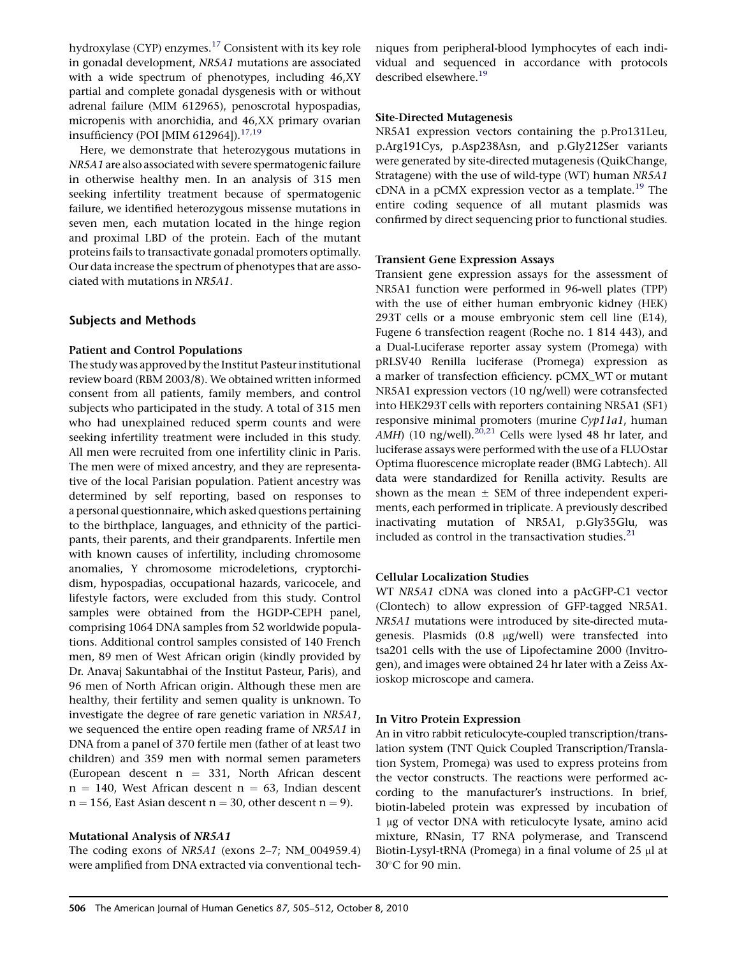hydroxylase (CYP) enzymes.<sup>[17](#page-6-0)</sup> Consistent with its key role in gonadal development, NR5A1 mutations are associated with a wide spectrum of phenotypes, including 46,XY partial and complete gonadal dysgenesis with or without adrenal failure (MIM 612965), penoscrotal hypospadias, micropenis with anorchidia, and 46,XX primary ovarian insufficiency (POI [MIM 612964]). $17,19$ 

Here, we demonstrate that heterozygous mutations in NR5A1 are also associated with severe spermatogenic failure in otherwise healthy men. In an analysis of 315 men seeking infertility treatment because of spermatogenic failure, we identified heterozygous missense mutations in seven men, each mutation located in the hinge region and proximal LBD of the protein. Each of the mutant proteins fails to transactivate gonadal promoters optimally. Our data increase the spectrum of phenotypes that are associated with mutations in NR5A1.

## Subjects and Methods

#### Patient and Control Populations

The study was approved by the Institut Pasteur institutional review board (RBM 2003/8). We obtained written informed consent from all patients, family members, and control subjects who participated in the study. A total of 315 men who had unexplained reduced sperm counts and were seeking infertility treatment were included in this study. All men were recruited from one infertility clinic in Paris. The men were of mixed ancestry, and they are representative of the local Parisian population. Patient ancestry was determined by self reporting, based on responses to a personal questionnaire, which asked questions pertaining to the birthplace, languages, and ethnicity of the participants, their parents, and their grandparents. Infertile men with known causes of infertility, including chromosome anomalies, Y chromosome microdeletions, cryptorchidism, hypospadias, occupational hazards, varicocele, and lifestyle factors, were excluded from this study. Control samples were obtained from the HGDP-CEPH panel, comprising 1064 DNA samples from 52 worldwide populations. Additional control samples consisted of 140 French men, 89 men of West African origin (kindly provided by Dr. Anavaj Sakuntabhai of the Institut Pasteur, Paris), and 96 men of North African origin. Although these men are healthy, their fertility and semen quality is unknown. To investigate the degree of rare genetic variation in NR5A1, we sequenced the entire open reading frame of NR5A1 in DNA from a panel of 370 fertile men (father of at least two children) and 359 men with normal semen parameters (European descent  $n = 331$ , North African descent  $n = 140$ , West African descent  $n = 63$ , Indian descent  $n = 156$ , East Asian descent  $n = 30$ , other descent  $n = 9$ ).

### Mutational Analysis of NR5A1

The coding exons of NR5A1 (exons 2–7; NM\_004959.4) were amplified from DNA extracted via conventional techniques from peripheral-blood lymphocytes of each individual and sequenced in accordance with protocols described elsewhere.<sup>[19](#page-6-0)</sup>

#### Site-Directed Mutagenesis

NR5A1 expression vectors containing the p.Pro131Leu, p.Arg191Cys, p.Asp238Asn, and p.Gly212Ser variants were generated by site-directed mutagenesis (QuikChange, Stratagene) with the use of wild-type (WT) human NR5A1 cDNA in a pCMX expression vector as a template.<sup>[19](#page-6-0)</sup> The entire coding sequence of all mutant plasmids was confirmed by direct sequencing prior to functional studies.

#### Transient Gene Expression Assays

Transient gene expression assays for the assessment of NR5A1 function were performed in 96-well plates (TPP) with the use of either human embryonic kidney (HEK) 293T cells or a mouse embryonic stem cell line (E14), Fugene 6 transfection reagent (Roche no. 1 814 443), and a Dual-Luciferase reporter assay system (Promega) with pRLSV40 Renilla luciferase (Promega) expression as a marker of transfection efficiency. pCMX\_WT or mutant NR5A1 expression vectors (10 ng/well) were cotransfected into HEK293T cells with reporters containing NR5A1 (SF1) responsive minimal promoters (murine Cyp11a1, human  $A$ MH) (10 ng/well).<sup>[20,21](#page-6-0)</sup> Cells were lysed 48 hr later, and luciferase assays were performed with the use of a FLUOstar Optima fluorescence microplate reader (BMG Labtech). All data were standardized for Renilla activity. Results are shown as the mean  $\pm$  SEM of three independent experiments, each performed in triplicate. A previously described inactivating mutation of NR5A1, p.Gly35Glu, was included as control in the transactivation studies. $21$ 

#### Cellular Localization Studies

WT NR5A1 cDNA was cloned into a pAcGFP-C1 vector (Clontech) to allow expression of GFP-tagged NR5A1. NR5A1 mutations were introduced by site-directed mutagenesis. Plasmids (0.8 mg/well) were transfected into tsa201 cells with the use of Lipofectamine 2000 (Invitrogen), and images were obtained 24 hr later with a Zeiss Axioskop microscope and camera.

### In Vitro Protein Expression

An in vitro rabbit reticulocyte-coupled transcription/translation system (TNT Quick Coupled Transcription/Translation System, Promega) was used to express proteins from the vector constructs. The reactions were performed according to the manufacturer's instructions. In brief, biotin-labeled protein was expressed by incubation of 1 µg of vector DNA with reticulocyte lysate, amino acid mixture, RNasin, T7 RNA polymerase, and Transcend Biotin-Lysyl-tRNA (Promega) in a final volume of 25 µl at 30-C for 90 min.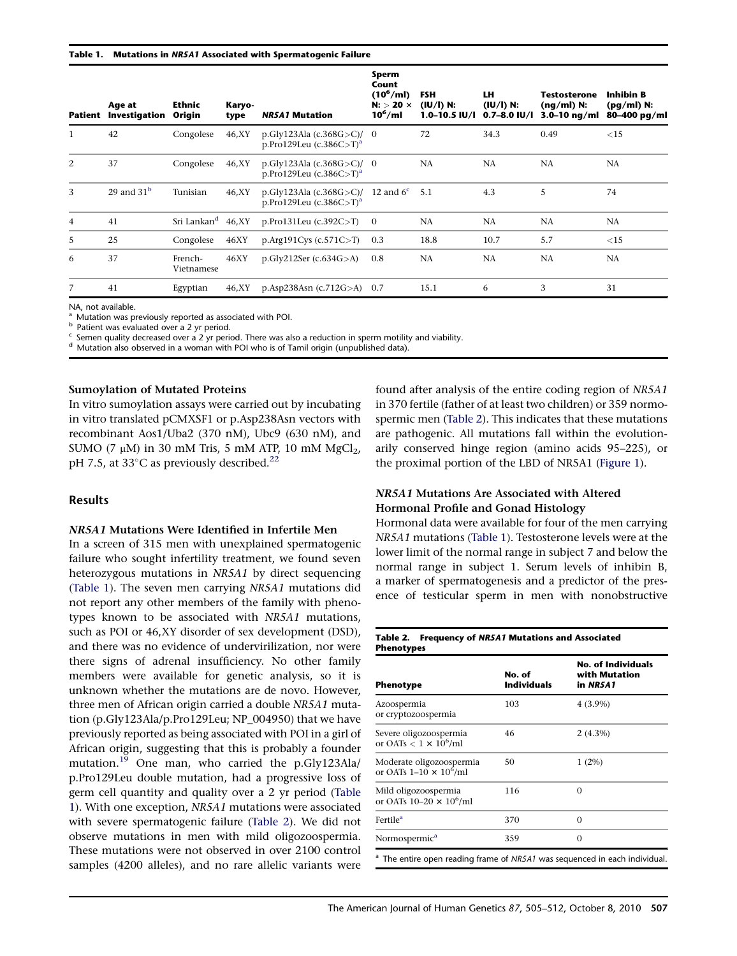#### Table 1. Mutations in NR5A1 Associated with Spermatogenic Failure

|                | Age at<br><b>Patient Investigation</b> | <b>Ethnic</b><br>Origin | Karyo-<br>type | <b>NR5A1 Mutation</b>                                               | Sperm<br>Count<br>$(10^6$ /ml)<br>$N:$ $>$ 20 $\times$<br>$10^6$ /ml | <b>FSH</b><br>(IU/I) N:<br>$1.0 - 10.5$ IV/I | LH.<br>(IU/I) N:<br>$0.7 - 8.0$ IV/I | <b>Testosterone</b><br>$(nq/ml)$ N:<br>$3.0 - 10$ ng/ml | <b>Inhibin B</b><br>$(pq/ml)$ N:<br>80-400 pg/ml |
|----------------|----------------------------------------|-------------------------|----------------|---------------------------------------------------------------------|----------------------------------------------------------------------|----------------------------------------------|--------------------------------------|---------------------------------------------------------|--------------------------------------------------|
| $\mathbf{1}$   | 42                                     | Congolese               | 46,XY          | p.Gly123Ala $(c.368G > C)/0$<br>p.Pro129Leu $(c.386C>T)^a$          |                                                                      | 72                                           | 34.3                                 | 0.49                                                    | <15                                              |
| 2              | 37                                     | Congolese               | 46,XY          | p.Gly123Ala $(c.368G > C)/0$<br>p.Pro129Leu (c.386C>T) <sup>a</sup> |                                                                      | NA                                           | NA                                   | NA                                                      | <b>NA</b>                                        |
| 3              | 29 and $31b$                           | Tunisian                | 46,XY          | p.Gly123Ala (c.368G>C)<br>p.Pro129Leu $(c.386C>T)^a$                | 12 and $6^{\circ}$ 5.1                                               |                                              | 4.3                                  | 5                                                       | 74                                               |
| $\overline{4}$ | 41                                     | Sri Lankan <sup>d</sup> | 46.XY          | p.Pro131Leu $(c.392C>T)$                                            | $\overline{0}$                                                       | NA                                           | NA                                   | <b>NA</b>                                               | NA                                               |
| 5              | 25                                     | Congolese               | 46XY           | p.Arg191Cys $(c.571C > T)$                                          | 0.3                                                                  | 18.8                                         | 10.7                                 | 5.7                                                     | <15                                              |
| 6              | 37                                     | French-<br>Vietnamese   | 46XY           | p.Gly212Ser $(c.634G>A)$                                            | 0.8                                                                  | NA                                           | NA                                   | NA                                                      | <b>NA</b>                                        |
| 7              | 41                                     | Egyptian                | 46,XY          | $p. Asp238Asn (c.712G > A)$ 0.7                                     |                                                                      | 15.1                                         | 6                                    | 3                                                       | 31                                               |

NA, not available.<br><sup>a</sup> Mutation was previously reported as associated with POI.

b Patient was evaluated over a 2 yr period.<br>
Fatient was evaluated over a 2 yr period. There was also a reduction in sperm motility and viability.<br>
<sup>d</sup> Mutation also observed in a woman with POI who is of Tamil origin (unp

#### Sumoylation of Mutated Proteins

In vitro sumoylation assays were carried out by incubating in vitro translated pCMXSF1 or p.Asp238Asn vectors with recombinant Aos1/Uba2 (370 nM), Ubc9 (630 nM), and SUMO (7  $\mu$ M) in 30 mM Tris, 5 mM ATP, 10 mM MgCl<sub>2</sub>, pH 7.5, at 33 $^{\circ}$ C as previously described.<sup>[22](#page-6-0)</sup>

#### Results

#### NR5A1 Mutations Were Identified in Infertile Men

In a screen of 315 men with unexplained spermatogenic failure who sought infertility treatment, we found seven heterozygous mutations in NR5A1 by direct sequencing (Table 1). The seven men carrying NR5A1 mutations did not report any other members of the family with phenotypes known to be associated with NR5A1 mutations, such as POI or 46,XY disorder of sex development (DSD), and there was no evidence of undervirilization, nor were there signs of adrenal insufficiency. No other family members were available for genetic analysis, so it is unknown whether the mutations are de novo. However, three men of African origin carried a double NR5A1 mutation (p.Gly123Ala/p.Pro129Leu; NP\_004950) that we have previously reported as being associated with POI in a girl of African origin, suggesting that this is probably a founder mutation.[19](#page-6-0) One man, who carried the p.Gly123Ala/ p.Pro129Leu double mutation, had a progressive loss of germ cell quantity and quality over a 2 yr period (Table 1). With one exception, NR5A1 mutations were associated with severe spermatogenic failure (Table 2). We did not observe mutations in men with mild oligozoospermia. These mutations were not observed in over 2100 control samples (4200 alleles), and no rare allelic variants were

found after analysis of the entire coding region of NR5A1 in 370 fertile (father of at least two children) or 359 normospermic men (Table 2). This indicates that these mutations are pathogenic. All mutations fall within the evolutionarily conserved hinge region (amino acids 95–225), or the proximal portion of the LBD of NR5A1 [\(Figure 1](#page-3-0)).

### NR5A1 Mutations Are Associated with Altered Hormonal Profile and Gonad Histology

Hormonal data were available for four of the men carrying NR5A1 mutations (Table 1). Testosterone levels were at the lower limit of the normal range in subject 7 and below the normal range in subject 1. Serum levels of inhibin B, a marker of spermatogenesis and a predictor of the presence of testicular sperm in men with nonobstructive

#### Table 2. Frequency of NR5A1 Mutations and Associated Phenotypes

| <b>Phenotype</b>                                                                      | No. of<br><b>Individuals</b> | <b>No. of Individuals</b><br>with Mutation<br>in NR5A1 |  |  |
|---------------------------------------------------------------------------------------|------------------------------|--------------------------------------------------------|--|--|
| Azoospermia<br>or cryptozoospermia                                                    | 103                          | $4(3.9\%)$                                             |  |  |
| Severe oligozoospermia<br>or OATs $< 1 \times 10^6$ /ml                               | 46                           | $2(4.3\%)$                                             |  |  |
| Moderate oligozoospermia<br>or OATs $1-10 \times 10^6$ /ml                            | 50                           | $1(2\%)$                                               |  |  |
| Mild oligozoospermia<br>or OATs 10–20 $\times$ 10 <sup>6</sup> /ml                    | 116                          | 0                                                      |  |  |
| Fertile <sup>a</sup>                                                                  | 370                          | 0                                                      |  |  |
| Normospermic <sup>a</sup>                                                             | 359                          | $\Omega$                                               |  |  |
| <sup>a</sup> The entire open reading frame of NR5A1 was sequenced in each individual. |                              |                                                        |  |  |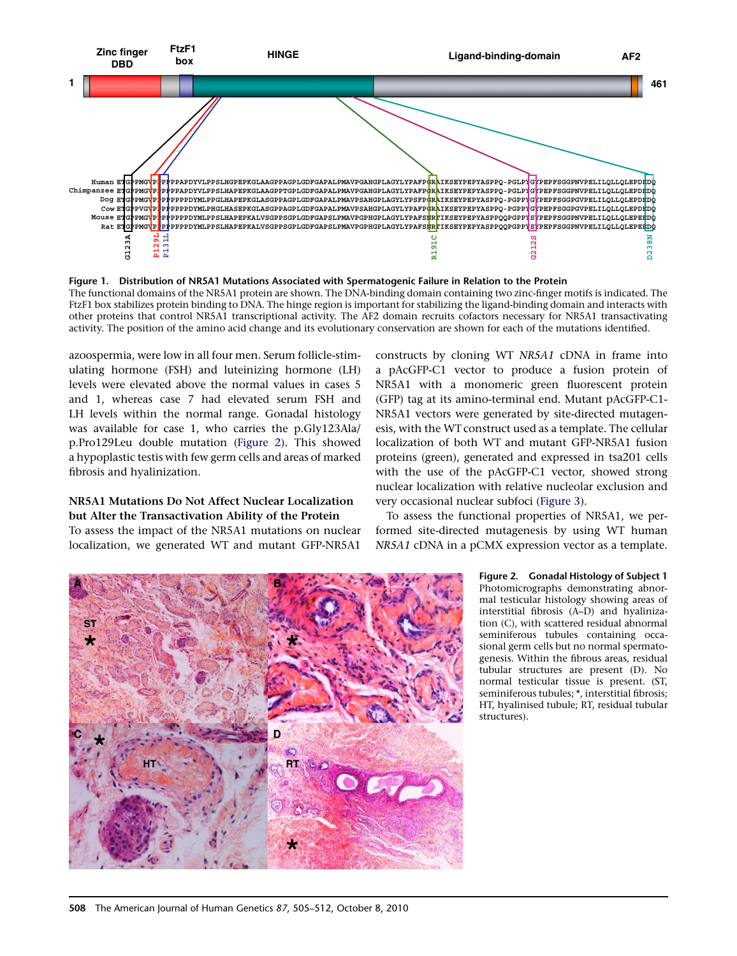<span id="page-3-0"></span>

Figure 1. Distribution of NR5A1 Mutations Associated with Spermatogenic Failure in Relation to the Protein The functional domains of the NR5A1 protein are shown. The DNA-binding domain containing two zinc-finger motifs is indicated. The FtzF1 box stabilizes protein binding to DNA. The hinge region is important for stabilizing the ligand-binding domain and interacts with other proteins that control NR5A1 transcriptional activity. The AF2 domain recruits cofactors necessary for NR5A1 transactivating activity. The position of the amino acid change and its evolutionary conservation are shown for each of the mutations identified.

azoospermia, were low in all four men. Serum follicle-stimulating hormone (FSH) and luteinizing hormone (LH) levels were elevated above the normal values in cases 5 and 1, whereas case 7 had elevated serum FSH and LH levels within the normal range. Gonadal histology was available for case 1, who carries the p.Gly123Ala/ p.Pro129Leu double mutation (Figure 2). This showed a hypoplastic testis with few germ cells and areas of marked fibrosis and hyalinization.

## NR5A1 Mutations Do Not Affect Nuclear Localization but Alter the Transactivation Ability of the Protein

To assess the impact of the NR5A1 mutations on nuclear localization, we generated WT and mutant GFP-NR5A1

constructs by cloning WT NR5A1 cDNA in frame into a pAcGFP-C1 vector to produce a fusion protein of NR5A1 with a monomeric green fluorescent protein (GFP) tag at its amino-terminal end. Mutant pAcGFP-C1- NR5A1 vectors were generated by site-directed mutagenesis, with the WT construct used as a template. The cellular localization of both WT and mutant GFP-NR5A1 fusion proteins (green), generated and expressed in tsa201 cells with the use of the pAcGFP-C1 vector, showed strong nuclear localization with relative nucleolar exclusion and very occasional nuclear subfoci [\(Figure 3](#page-4-0)).

To assess the functional properties of NR5A1, we performed site-directed mutagenesis by using WT human NR5A1 cDNA in a pCMX expression vector as a template.



Figure 2. Gonadal Histology of Subject 1 Photomicrographs demonstrating abnormal testicular histology showing areas of interstitial fibrosis (A–D) and hyalinization (C), with scattered residual abnormal seminiferous tubules containing occasional germ cells but no normal spermatogenesis. Within the fibrous areas, residual tubular structures are present (D). No normal testicular tissue is present. (ST, seminiferous tubules; \*, interstitial fibrosis; HT, hyalinised tubule; RT, residual tubular structures).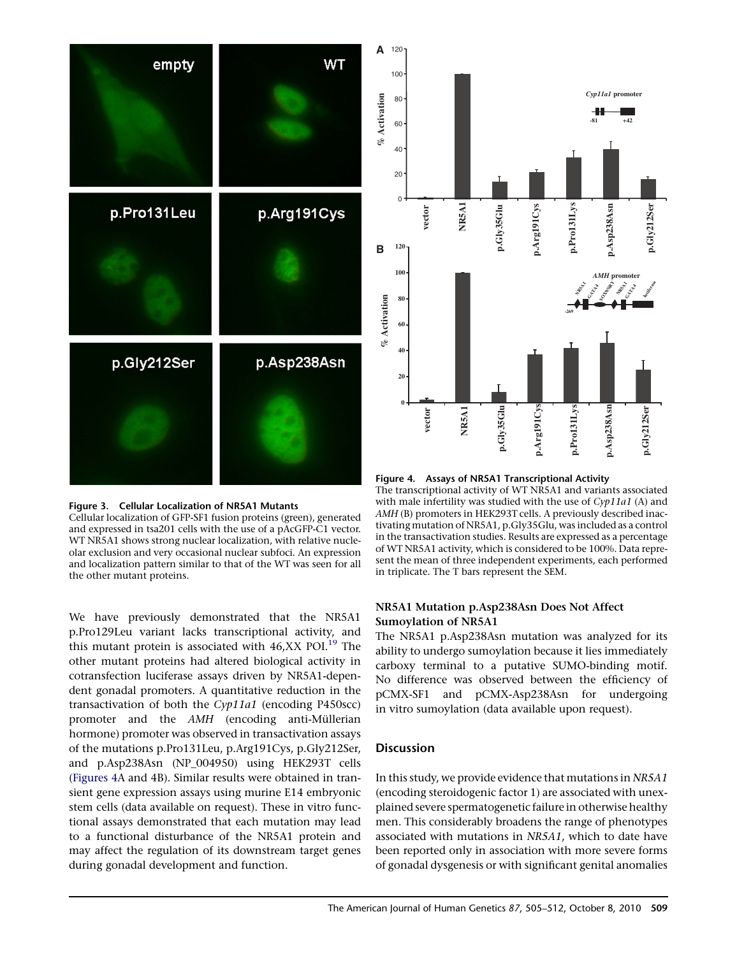<span id="page-4-0"></span>



Cellular localization of GFP-SF1 fusion proteins (green), generated and expressed in tsa201 cells with the use of a pAcGFP-C1 vector. WT NR5A1 shows strong nuclear localization, with relative nucleolar exclusion and very occasional nuclear subfoci. An expression and localization pattern similar to that of the WT was seen for all the other mutant proteins.

We have previously demonstrated that the NR5A1 p.Pro129Leu variant lacks transcriptional activity, and this mutant protein is associated with  $46,XX$  POI.<sup>[19](#page-6-0)</sup> The other mutant proteins had altered biological activity in cotransfection luciferase assays driven by NR5A1-dependent gonadal promoters. A quantitative reduction in the transactivation of both the Cyp11a1 (encoding P450scc) promoter and the AMH (encoding anti-Müllerian hormone) promoter was observed in transactivation assays of the mutations p.Pro131Leu, p.Arg191Cys, p.Gly212Ser, and p.Asp238Asn (NP\_004950) using HEK293T cells (Figures 4A and 4B). Similar results were obtained in transient gene expression assays using murine E14 embryonic stem cells (data available on request). These in vitro functional assays demonstrated that each mutation may lead to a functional disturbance of the NR5A1 protein and may affect the regulation of its downstream target genes during gonadal development and function.



Figure 4. Assays of NR5A1 Transcriptional Activity

The transcriptional activity of WT NR5A1 and variants associated with male infertility was studied with the use of  $Cyp11a1$  (A) and AMH (B) promoters in HEK293T cells. A previously described inactivating mutation of NR5A1, p.Gly35Glu, was included as a control in the transactivation studies. Results are expressed as a percentage of WT NR5A1 activity, which is considered to be 100%. Data represent the mean of three independent experiments, each performed in triplicate. The T bars represent the SEM.

## NR5A1 Mutation p.Asp238Asn Does Not Affect Sumoylation of NR5A1

The NR5A1 p.Asp238Asn mutation was analyzed for its ability to undergo sumoylation because it lies immediately carboxy terminal to a putative SUMO-binding motif. No difference was observed between the efficiency of pCMX-SF1 and pCMX-Asp238Asn for undergoing in vitro sumoylation (data available upon request).

## **Discussion**

In this study, we provide evidence that mutations in NR5A1 (encoding steroidogenic factor 1) are associated with unexplained severe spermatogenetic failure in otherwise healthy men. This considerably broadens the range of phenotypes associated with mutations in NR5A1, which to date have been reported only in association with more severe forms of gonadal dysgenesis or with significant genital anomalies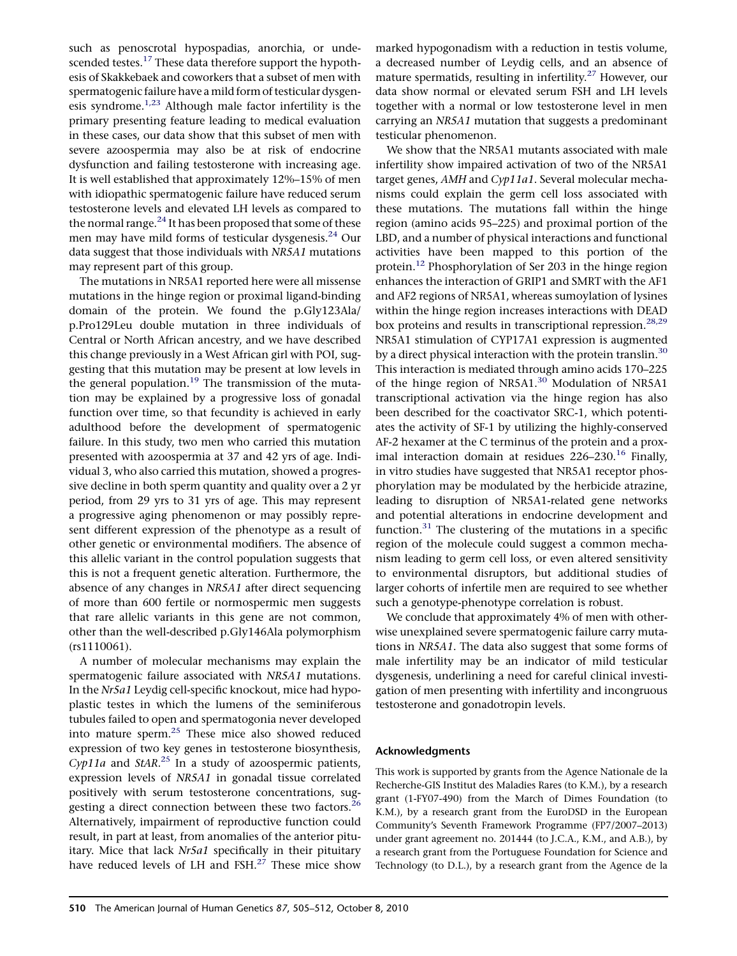such as penoscrotal hypospadias, anorchia, or unde-scended testes.<sup>[17](#page-6-0)</sup> These data therefore support the hypothesis of Skakkebaek and coworkers that a subset of men with spermatogenic failure have a mild form of testicular dysgenesis syndrome. $1,23$  Although male factor infertility is the primary presenting feature leading to medical evaluation in these cases, our data show that this subset of men with severe azoospermia may also be at risk of endocrine dysfunction and failing testosterone with increasing age. It is well established that approximately 12%–15% of men with idiopathic spermatogenic failure have reduced serum testosterone levels and elevated LH levels as compared to the normal range. $^{24}$  $^{24}$  $^{24}$  It has been proposed that some of these men may have mild forms of testicular dysgenesis.<sup>[24](#page-6-0)</sup> Our data suggest that those individuals with NR5A1 mutations may represent part of this group.

The mutations in NR5A1 reported here were all missense mutations in the hinge region or proximal ligand-binding domain of the protein. We found the p.Gly123Ala/ p.Pro129Leu double mutation in three individuals of Central or North African ancestry, and we have described this change previously in a West African girl with POI, suggesting that this mutation may be present at low levels in the general population.<sup>[19](#page-6-0)</sup> The transmission of the mutation may be explained by a progressive loss of gonadal function over time, so that fecundity is achieved in early adulthood before the development of spermatogenic failure. In this study, two men who carried this mutation presented with azoospermia at 37 and 42 yrs of age. Individual 3, who also carried this mutation, showed a progressive decline in both sperm quantity and quality over a 2 yr period, from 29 yrs to 31 yrs of age. This may represent a progressive aging phenomenon or may possibly represent different expression of the phenotype as a result of other genetic or environmental modifiers. The absence of this allelic variant in the control population suggests that this is not a frequent genetic alteration. Furthermore, the absence of any changes in NR5A1 after direct sequencing of more than 600 fertile or normospermic men suggests that rare allelic variants in this gene are not common, other than the well-described p.Gly146Ala polymorphism (rs1110061).

A number of molecular mechanisms may explain the spermatogenic failure associated with NR5A1 mutations. In the Nr5a1 Leydig cell-specific knockout, mice had hypoplastic testes in which the lumens of the seminiferous tubules failed to open and spermatogonia never developed into mature sperm.<sup>25</sup> These mice also showed reduced expression of two key genes in testosterone biosynthesis, Cyp11a and StAR.<sup>[25](#page-7-0)</sup> In a study of azoospermic patients, expression levels of NR5A1 in gonadal tissue correlated positively with serum testosterone concentrations, sug-gesting a direct connection between these two factors.<sup>[26](#page-7-0)</sup> Alternatively, impairment of reproductive function could result, in part at least, from anomalies of the anterior pituitary. Mice that lack Nr5a1 specifically in their pituitary have reduced levels of LH and  $FSH.<sup>27</sup>$  These mice show

marked hypogonadism with a reduction in testis volume, a decreased number of Leydig cells, and an absence of mature spermatids, resulting in infertility.<sup>[27](#page-7-0)</sup> However, our data show normal or elevated serum FSH and LH levels together with a normal or low testosterone level in men carrying an NR5A1 mutation that suggests a predominant testicular phenomenon.

We show that the NR5A1 mutants associated with male infertility show impaired activation of two of the NR5A1 target genes, AMH and Cyp11a1. Several molecular mechanisms could explain the germ cell loss associated with these mutations. The mutations fall within the hinge region (amino acids 95–225) and proximal portion of the LBD, and a number of physical interactions and functional activities have been mapped to this portion of the protein.[12](#page-6-0) Phosphorylation of Ser 203 in the hinge region enhances the interaction of GRIP1 and SMRT with the AF1 and AF2 regions of NR5A1, whereas sumoylation of lysines within the hinge region increases interactions with DEAD box proteins and results in transcriptional repression. $28,29$ NR5A1 stimulation of CYP17A1 expression is augmented by a direct physical interaction with the protein translin.<sup>[30](#page-7-0)</sup> This interaction is mediated through amino acids 170–225 of the hinge region of NR5A1.<sup>[30](#page-7-0)</sup> Modulation of NR5A1 transcriptional activation via the hinge region has also been described for the coactivator SRC-1, which potentiates the activity of SF-1 by utilizing the highly-conserved AF-2 hexamer at the C terminus of the protein and a proximal interaction domain at residues  $226-230$ .<sup>[16](#page-6-0)</sup> Finally, in vitro studies have suggested that NR5A1 receptor phosphorylation may be modulated by the herbicide atrazine, leading to disruption of NR5A1-related gene networks and potential alterations in endocrine development and function. $31$  The clustering of the mutations in a specific region of the molecule could suggest a common mechanism leading to germ cell loss, or even altered sensitivity to environmental disruptors, but additional studies of larger cohorts of infertile men are required to see whether such a genotype-phenotype correlation is robust.

We conclude that approximately 4% of men with otherwise unexplained severe spermatogenic failure carry mutations in NR5A1. The data also suggest that some forms of male infertility may be an indicator of mild testicular dysgenesis, underlining a need for careful clinical investigation of men presenting with infertility and incongruous testosterone and gonadotropin levels.

### Acknowledgments

This work is supported by grants from the Agence Nationale de la Recherche-GIS Institut des Maladies Rares (to K.M.), by a research grant (1-FY07-490) from the March of Dimes Foundation (to K.M.), by a research grant from the EuroDSD in the European Community's Seventh Framework Programme (FP7/2007–2013) under grant agreement no. 201444 (to J.C.A., K.M., and A.B.), by a research grant from the Portuguese Foundation for Science and Technology (to D.L.), by a research grant from the Agence de la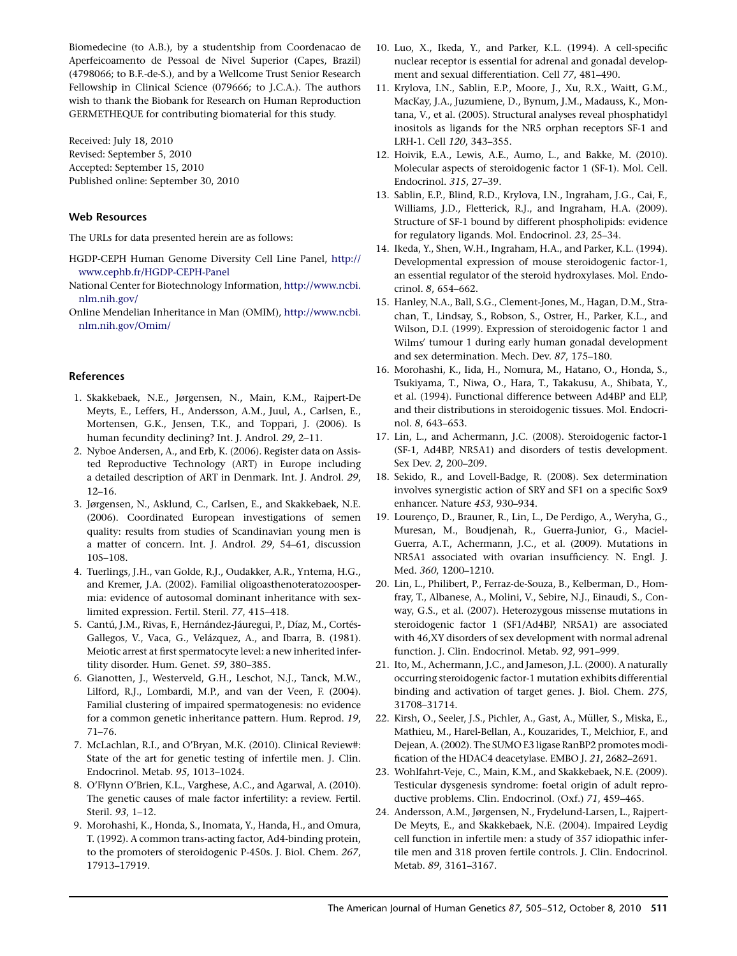<span id="page-6-0"></span>Biomedecine (to A.B.), by a studentship from Coordenacao de Aperfeicoamento de Pessoal de Nivel Superior (Capes, Brazil) (4798066; to B.F.-de-S.), and by a Wellcome Trust Senior Research Fellowship in Clinical Science (079666; to J.C.A.). The authors wish to thank the Biobank for Research on Human Reproduction GERMETHEQUE for contributing biomaterial for this study.

Received: July 18, 2010 Revised: September 5, 2010 Accepted: September 15, 2010 Published online: September 30, 2010

#### Web Resources

The URLs for data presented herein are as follows:

- HGDP-CEPH Human Genome Diversity Cell Line Panel, [http://](http://www.cephb.fr/HGDP-CEPH-Panel) [www.cephb.fr/HGDP-CEPH-Panel](http://www.cephb.fr/HGDP-CEPH-Panel)
- National Center for Biotechnology Information, [http://www.ncbi.](http://www.ncbi.nlm.nih.gov/) [nlm.nih.gov/](http://www.ncbi.nlm.nih.gov/)

Online Mendelian Inheritance in Man (OMIM), [http://www.ncbi.](http://www.ncbi.nlm.nih.gov/Omim/) [nlm.nih.gov/Omim/](http://www.ncbi.nlm.nih.gov/Omim/)

#### References

- 1. Skakkebaek, N.E., Jørgensen, N., Main, K.M., Rajpert-De Meyts, E., Leffers, H., Andersson, A.M., Juul, A., Carlsen, E., Mortensen, G.K., Jensen, T.K., and Toppari, J. (2006). Is human fecundity declining? Int. J. Androl. 29, 2–11.
- 2. Nyboe Andersen, A., and Erb, K. (2006). Register data on Assisted Reproductive Technology (ART) in Europe including a detailed description of ART in Denmark. Int. J. Androl. 29, 12–16.
- 3. Jørgensen, N., Asklund, C., Carlsen, E., and Skakkebaek, N.E. (2006). Coordinated European investigations of semen quality: results from studies of Scandinavian young men is a matter of concern. Int. J. Androl. 29, 54–61, discussion 105–108.
- 4. Tuerlings, J.H., van Golde, R.J., Oudakker, A.R., Yntema, H.G., and Kremer, J.A. (2002). Familial oligoasthenoteratozoospermia: evidence of autosomal dominant inheritance with sexlimited expression. Fertil. Steril. 77, 415–418.
- 5. Cantú, J.M., Rivas, F., Hernández-Jáuregui, P., Díaz, M., Cortés-Gallegos, V., Vaca, G., Velázquez, A., and Ibarra, B. (1981). Meiotic arrest at first spermatocyte level: a new inherited infertility disorder. Hum. Genet. 59, 380–385.
- 6. Gianotten, J., Westerveld, G.H., Leschot, N.J., Tanck, M.W., Lilford, R.J., Lombardi, M.P., and van der Veen, F. (2004). Familial clustering of impaired spermatogenesis: no evidence for a common genetic inheritance pattern. Hum. Reprod. 19, 71–76.
- 7. McLachlan, R.I., and O'Bryan, M.K. (2010). Clinical Review#: State of the art for genetic testing of infertile men. J. Clin. Endocrinol. Metab. 95, 1013–1024.
- 8. O'Flynn O'Brien, K.L., Varghese, A.C., and Agarwal, A. (2010). The genetic causes of male factor infertility: a review. Fertil. Steril. 93, 1–12.
- 9. Morohashi, K., Honda, S., Inomata, Y., Handa, H., and Omura, T. (1992). A common trans-acting factor, Ad4-binding protein, to the promoters of steroidogenic P-450s. J. Biol. Chem. 267, 17913–17919.
- 10. Luo, X., Ikeda, Y., and Parker, K.L. (1994). A cell-specific nuclear receptor is essential for adrenal and gonadal development and sexual differentiation. Cell 77, 481–490.
- 11. Krylova, I.N., Sablin, E.P., Moore, J., Xu, R.X., Waitt, G.M., MacKay, J.A., Juzumiene, D., Bynum, J.M., Madauss, K., Montana, V., et al. (2005). Structural analyses reveal phosphatidyl inositols as ligands for the NR5 orphan receptors SF-1 and LRH-1. Cell 120, 343–355.
- 12. Hoivik, E.A., Lewis, A.E., Aumo, L., and Bakke, M. (2010). Molecular aspects of steroidogenic factor 1 (SF-1). Mol. Cell. Endocrinol. 315, 27–39.
- 13. Sablin, E.P., Blind, R.D., Krylova, I.N., Ingraham, J.G., Cai, F., Williams, J.D., Fletterick, R.J., and Ingraham, H.A. (2009). Structure of SF-1 bound by different phospholipids: evidence for regulatory ligands. Mol. Endocrinol. 23, 25–34.
- 14. Ikeda, Y., Shen, W.H., Ingraham, H.A., and Parker, K.L. (1994). Developmental expression of mouse steroidogenic factor-1, an essential regulator of the steroid hydroxylases. Mol. Endocrinol. 8, 654–662.
- 15. Hanley, N.A., Ball, S.G., Clement-Jones, M., Hagan, D.M., Strachan, T., Lindsay, S., Robson, S., Ostrer, H., Parker, K.L., and Wilson, D.I. (1999). Expression of steroidogenic factor 1 and Wilms' tumour 1 during early human gonadal development and sex determination. Mech. Dev. 87, 175–180.
- 16. Morohashi, K., Iida, H., Nomura, M., Hatano, O., Honda, S., Tsukiyama, T., Niwa, O., Hara, T., Takakusu, A., Shibata, Y., et al. (1994). Functional difference between Ad4BP and ELP, and their distributions in steroidogenic tissues. Mol. Endocrinol. 8, 643–653.
- 17. Lin, L., and Achermann, J.C. (2008). Steroidogenic factor-1 (SF-1, Ad4BP, NR5A1) and disorders of testis development. Sex Dev. 2, 200–209.
- 18. Sekido, R., and Lovell-Badge, R. (2008). Sex determination involves synergistic action of SRY and SF1 on a specific Sox9 enhancer. Nature 453, 930–934.
- 19. Lourenço, D., Brauner, R., Lin, L., De Perdigo, A., Weryha, G., Muresan, M., Boudjenah, R., Guerra-Junior, G., Maciel-Guerra, A.T., Achermann, J.C., et al. (2009). Mutations in NR5A1 associated with ovarian insufficiency. N. Engl. J. Med. 360, 1200–1210.
- 20. Lin, L., Philibert, P., Ferraz-de-Souza, B., Kelberman, D., Homfray, T., Albanese, A., Molini, V., Sebire, N.J., Einaudi, S., Conway, G.S., et al. (2007). Heterozygous missense mutations in steroidogenic factor 1 (SF1/Ad4BP, NR5A1) are associated with 46,XY disorders of sex development with normal adrenal function. J. Clin. Endocrinol. Metab. 92, 991–999.
- 21. Ito, M., Achermann, J.C., and Jameson, J.L. (2000). A naturally occurring steroidogenic factor-1 mutation exhibits differential binding and activation of target genes. J. Biol. Chem. 275, 31708–31714.
- 22. Kirsh, O., Seeler, J.S., Pichler, A., Gast, A., Müller, S., Miska, E., Mathieu, M., Harel-Bellan, A., Kouzarides, T., Melchior, F., and Dejean, A. (2002). The SUMO E3 ligase RanBP2 promotes modification of the HDAC4 deacetylase. EMBO J. 21, 2682–2691.
- 23. Wohlfahrt-Veje, C., Main, K.M., and Skakkebaek, N.E. (2009). Testicular dysgenesis syndrome: foetal origin of adult reproductive problems. Clin. Endocrinol. (Oxf.) 71, 459–465.
- 24. Andersson, A.M., Jørgensen, N., Frydelund-Larsen, L., Rajpert-De Meyts, E., and Skakkebaek, N.E. (2004). Impaired Leydig cell function in infertile men: a study of 357 idiopathic infertile men and 318 proven fertile controls. J. Clin. Endocrinol. Metab. 89, 3161–3167.